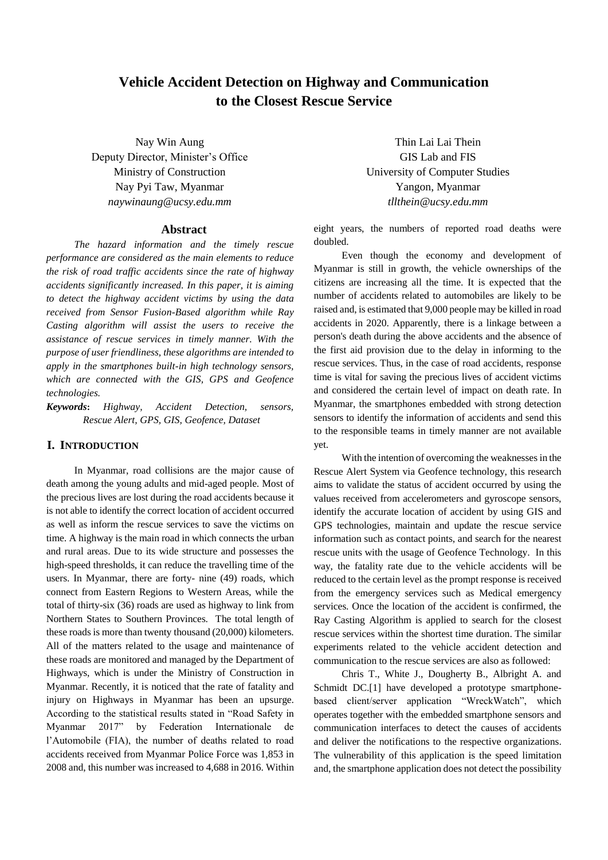# **Vehicle Accident Detection on Highway and Communication to the Closest Rescue Service**

Nay Win Aung Deputy Director, Minister's Office Ministry of Construction Nay Pyi Taw, Myanmar *[naywinaung@ucsy.edu.mm](mailto:naywinaung@ucsy.edu.mm)*

### **Abstract**

*The hazard information and the timely rescue performance are considered as the main elements to reduce the risk of road traffic accidents since the rate of highway accidents significantly increased. In this paper, it is aiming to detect the highway accident victims by using the data received from Sensor Fusion-Based algorithm while Ray Casting algorithm will assist the users to receive the assistance of rescue services in timely manner. With the purpose of user friendliness, these algorithms are intended to apply in the smartphones built-in high technology sensors, which are connected with the GIS, GPS and Geofence technologies.*

*Keywords***:** *Highway, Accident Detection, sensors, Rescue Alert, GPS, GIS, Geofence, Dataset*

## **I. INTRODUCTION**

In Myanmar, road collisions are the major cause of death among the young adults and mid-aged people. Most of the precious lives are lost during the road accidents because it is not able to identify the correct location of accident occurred as well as inform the rescue services to save the victims on time. A highway is the main road in which connects the urban and rural areas. Due to its wide structure and possesses the high-speed thresholds, it can reduce the travelling time of the users. In Myanmar, there are forty- nine (49) roads, which connect from Eastern Regions to Western Areas, while the total of thirty-six (36) roads are used as highway to link from Northern States to Southern Provinces. The total length of these roads is more than twenty thousand (20,000) kilometers. All of the matters related to the usage and maintenance of these roads are monitored and managed by the Department of Highways, which is under the Ministry of Construction in Myanmar. Recently, it is noticed that the rate of fatality and injury on Highways in Myanmar has been an upsurge. According to the statistical results stated in "Road Safety in Myanmar 2017" by Federation Internationale de l'Automobile (FIA), the number of deaths related to road accidents received from Myanmar Police Force was 1,853 in 2008 and, this number was increased to 4,688 in 2016. Within

Thin Lai Lai Thein GIS Lab and FIS University of Computer Studies Yangon, Myanmar *[tllthein@ucsy.edu.mm](mailto:tllthein@ucsy.edu.mm)*

eight years, the numbers of reported road deaths were doubled.

Even though the economy and development of Myanmar is still in growth, the vehicle ownerships of the citizens are increasing all the time. It is expected that the number of accidents related to automobiles are likely to be raised and, is estimated that 9,000 people may be killed in road accidents in 2020. Apparently, there is a linkage between a person's death during the above accidents and the absence of the first aid provision due to the delay in informing to the rescue services. Thus, in the case of road accidents, response time is vital for saving the precious lives of accident victims and considered the certain level of impact on death rate. In Myanmar, the smartphones embedded with strong detection sensors to identify the information of accidents and send this to the responsible teams in timely manner are not available yet.

With the intention of overcoming the weaknesses in the Rescue Alert System via Geofence technology, this research aims to validate the status of accident occurred by using the values received from accelerometers and gyroscope sensors, identify the accurate location of accident by using GIS and GPS technologies, maintain and update the rescue service information such as contact points, and search for the nearest rescue units with the usage of Geofence Technology. In this way, the fatality rate due to the vehicle accidents will be reduced to the certain level as the prompt response is received from the emergency services such as Medical emergency services. Once the location of the accident is confirmed, the Ray Casting Algorithm is applied to search for the closest rescue services within the shortest time duration. The similar experiments related to the vehicle accident detection and communication to the rescue services are also as followed:

Chris T., White J., Dougherty B., Albright A. and Schmidt DC.<sup>[1]</sup> have developed a prototype smartphonebased client/server application "WreckWatch", which operates together with the embedded smartphone sensors and communication interfaces to detect the causes of accidents and deliver the notifications to the respective organizations. The vulnerability of this application is the speed limitation and, the smartphone application does not detect the possibility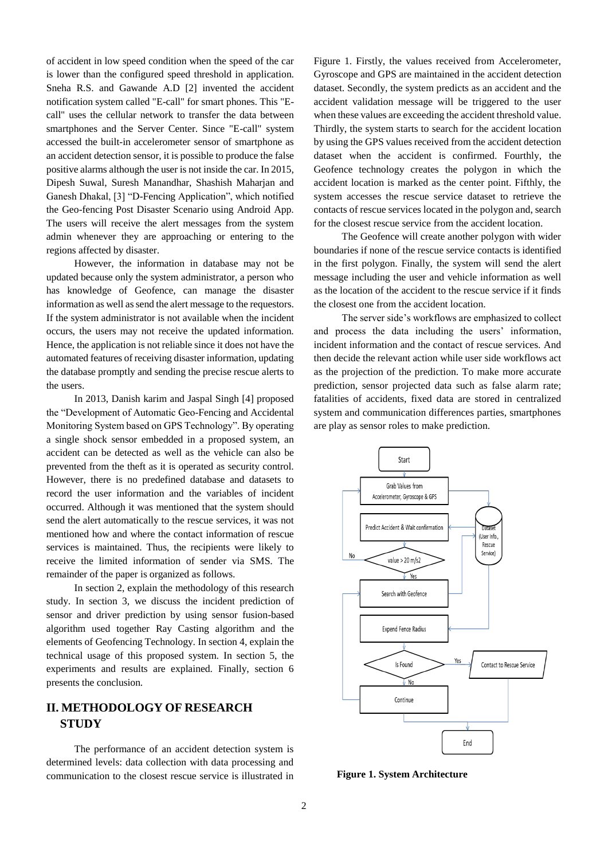of accident in low speed condition when the speed of the car is lower than the configured speed threshold in application. Sneha R.S. and Gawande A.D [2] invented the accident notification system called "E-call" for smart phones. This "Ecall" uses the cellular network to transfer the data between smartphones and the Server Center. Since "E-call" system accessed the built-in accelerometer sensor of smartphone as an accident detection sensor, it is possible to produce the false positive alarms although the user is not inside the car. In 2015, Dipesh Suwal, Suresh Manandhar, Shashish Maharjan and Ganesh Dhakal, [3] "D-Fencing Application", which notified the Geo-fencing Post Disaster Scenario using Android App. The users will receive the alert messages from the system admin whenever they are approaching or entering to the regions affected by disaster.

However, the information in database may not be updated because only the system administrator, a person who has knowledge of Geofence, can manage the disaster information as well as send the alert message to the requestors. If the system administrator is not available when the incident occurs, the users may not receive the updated information. Hence, the application is not reliable since it does not have the automated features of receiving disaster information, updating the database promptly and sending the precise rescue alerts to the users.

In 2013, Danish karim and Jaspal Singh [4] proposed the "Development of Automatic Geo-Fencing and Accidental Monitoring System based on GPS Technology". By operating a single shock sensor embedded in a proposed system, an accident can be detected as well as the vehicle can also be prevented from the theft as it is operated as security control. However, there is no predefined database and datasets to record the user information and the variables of incident occurred. Although it was mentioned that the system should send the alert automatically to the rescue services, it was not mentioned how and where the contact information of rescue services is maintained. Thus, the recipients were likely to receive the limited information of sender via SMS. The remainder of the paper is organized as follows.

In section 2, explain the methodology of this research study. In section 3, we discuss the incident prediction of sensor and driver prediction by using sensor fusion-based algorithm used together Ray Casting algorithm and the elements of Geofencing Technology. In section 4, explain the technical usage of this proposed system. In section 5, the experiments and results are explained. Finally, section 6 presents the conclusion.

## **II. METHODOLOGY OF RESEARCH STUDY**

The performance of an accident detection system is determined levels: data collection with data processing and communication to the closest rescue service is illustrated in

Figure 1. Firstly, the values received from Accelerometer, Gyroscope and GPS are maintained in the accident detection dataset. Secondly, the system predicts as an accident and the accident validation message will be triggered to the user when these values are exceeding the accident threshold value. Thirdly, the system starts to search for the accident location by using the GPS values received from the accident detection dataset when the accident is confirmed. Fourthly, the Geofence technology creates the polygon in which the accident location is marked as the center point. Fifthly, the system accesses the rescue service dataset to retrieve the contacts of rescue services located in the polygon and, search for the closest rescue service from the accident location.

The Geofence will create another polygon with wider boundaries if none of the rescue service contacts is identified in the first polygon. Finally, the system will send the alert message including the user and vehicle information as well as the location of the accident to the rescue service if it finds the closest one from the accident location.

The server side's workflows are emphasized to collect and process the data including the users' information, incident information and the contact of rescue services. And then decide the relevant action while user side workflows act as the projection of the prediction. To make more accurate prediction, sensor projected data such as false alarm rate; fatalities of accidents, fixed data are stored in centralized system and communication differences parties, smartphones are play as sensor roles to make prediction.



**Figure 1. System Architecture**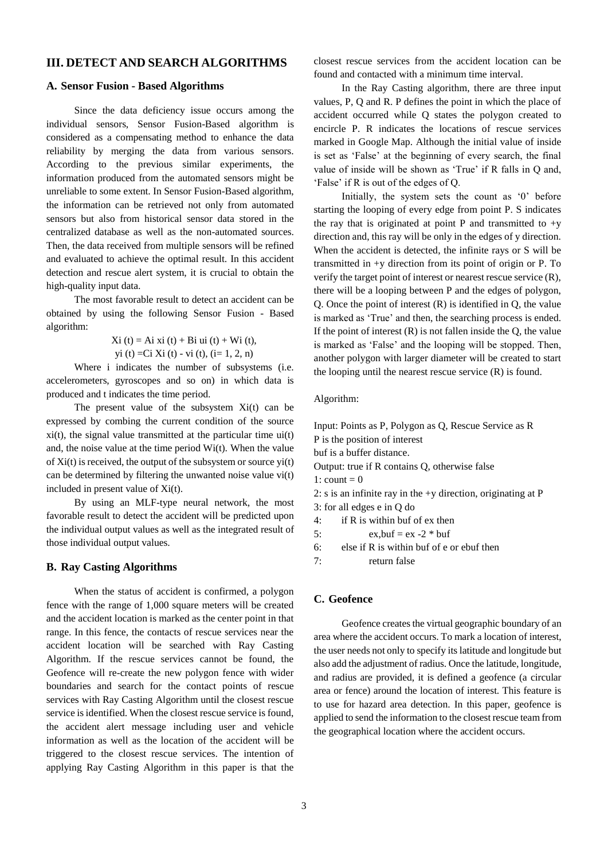## **III. DETECT AND SEARCH ALGORITHMS**

#### **A. Sensor Fusion - Based Algorithms**

Since the data deficiency issue occurs among the individual sensors, Sensor Fusion-Based algorithm is considered as a compensating method to enhance the data reliability by merging the data from various sensors. According to the previous similar experiments, the information produced from the automated sensors might be unreliable to some extent. In Sensor Fusion-Based algorithm, the information can be retrieved not only from automated sensors but also from historical sensor data stored in the centralized database as well as the non-automated sources. Then, the data received from multiple sensors will be refined and evaluated to achieve the optimal result. In this accident detection and rescue alert system, it is crucial to obtain the high-quality input data.

The most favorable result to detect an accident can be obtained by using the following Sensor Fusion - Based algorithm:

> $Xi(t) = Ai \, xi \, (t) + Bi \, ui \, (t) + Wi \, (t),$  $yi (t) = Ci Xi (t) - vi (t), (i= 1, 2, n)$

Where i indicates the number of subsystems (i.e. accelerometers, gyroscopes and so on) in which data is produced and t indicates the time period.

The present value of the subsystem  $Xi(t)$  can be expressed by combing the current condition of the source  $x$ i(t), the signal value transmitted at the particular time ui(t) and, the noise value at the time period Wi(t). When the value of  $Xi(t)$  is received, the output of the subsystem or source  $yi(t)$ can be determined by filtering the unwanted noise value vi(t) included in present value of Xi(t).

By using an MLF-type neural network, the most favorable result to detect the accident will be predicted upon the individual output values as well as the integrated result of those individual output values.

#### **B. Ray Casting Algorithms**

When the status of accident is confirmed, a polygon fence with the range of 1,000 square meters will be created and the accident location is marked as the center point in that range. In this fence, the contacts of rescue services near the accident location will be searched with Ray Casting Algorithm. If the rescue services cannot be found, the Geofence will re-create the new polygon fence with wider boundaries and search for the contact points of rescue services with Ray Casting Algorithm until the closest rescue service is identified. When the closest rescue service is found, the accident alert message including user and vehicle information as well as the location of the accident will be triggered to the closest rescue services. The intention of applying Ray Casting Algorithm in this paper is that the

closest rescue services from the accident location can be found and contacted with a minimum time interval.

In the Ray Casting algorithm, there are three input values, P, Q and R. P defines the point in which the place of accident occurred while Q states the polygon created to encircle P. R indicates the locations of rescue services marked in Google Map. Although the initial value of inside is set as 'False' at the beginning of every search, the final value of inside will be shown as 'True' if R falls in Q and, 'False' if R is out of the edges of Q.

Initially, the system sets the count as '0' before starting the looping of every edge from point P. S indicates the ray that is originated at point P and transmitted to  $+y$ direction and, this ray will be only in the edges of y direction. When the accident is detected, the infinite rays or S will be transmitted in +y direction from its point of origin or P. To verify the target point of interest or nearest rescue service (R), there will be a looping between P and the edges of polygon, Q. Once the point of interest (R) is identified in Q, the value is marked as 'True' and then, the searching process is ended. If the point of interest (R) is not fallen inside the Q, the value is marked as 'False' and the looping will be stopped. Then, another polygon with larger diameter will be created to start the looping until the nearest rescue service (R) is found.

#### Algorithm:

| P is the position of interest<br>buf is a buffer distance.<br>Output: true if R contains Q, otherwise false<br>1: count = $0$<br>2: s is an infinite ray in the +y direction, originating at P<br>3: for all edges e in Q do<br>4:<br>if $R$ is within buf of $ex$ then<br>5:<br>$ex.buf = ex -2 * but$<br>6:<br>else if R is within buf of e or ebuf then |
|------------------------------------------------------------------------------------------------------------------------------------------------------------------------------------------------------------------------------------------------------------------------------------------------------------------------------------------------------------|
|                                                                                                                                                                                                                                                                                                                                                            |
|                                                                                                                                                                                                                                                                                                                                                            |
|                                                                                                                                                                                                                                                                                                                                                            |
|                                                                                                                                                                                                                                                                                                                                                            |
|                                                                                                                                                                                                                                                                                                                                                            |
|                                                                                                                                                                                                                                                                                                                                                            |
|                                                                                                                                                                                                                                                                                                                                                            |
|                                                                                                                                                                                                                                                                                                                                                            |
|                                                                                                                                                                                                                                                                                                                                                            |

```
7: return false
```
#### **C. Geofence**

Geofence creates the virtual geographic boundary of an area where the accident occurs. To mark a location of interest, the user needs not only to specify its latitude and longitude but also add the adjustment of radius. Once the latitude, longitude, and radius are provided, it is defined a geofence (a circular area or fence) around the location of interest. This feature is to use for hazard area detection. In this paper, geofence is applied to send the information to the closest rescue team from the geographical location where the accident occurs.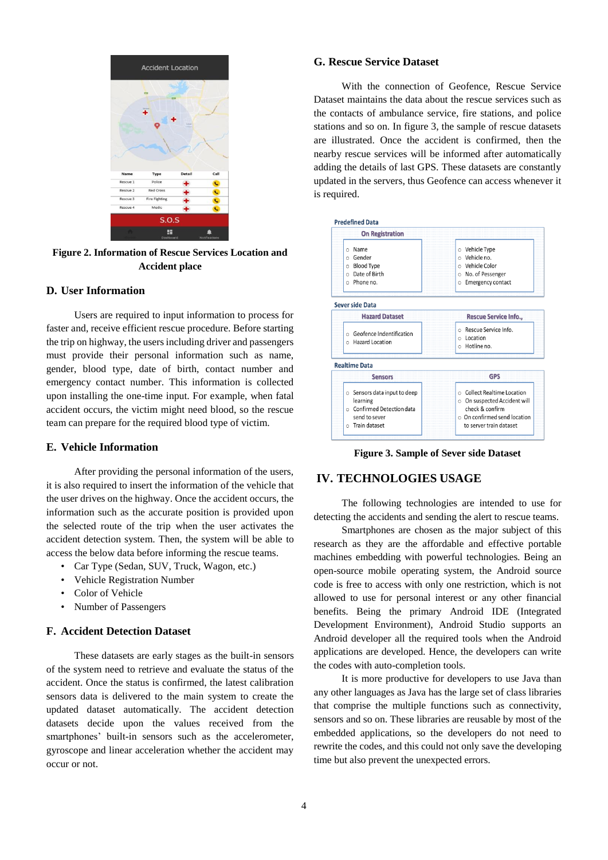

**Figure 2. Information of Rescue Services Location and Accident place**

#### **D. User Information**

Users are required to input information to process for faster and, receive efficient rescue procedure. Before starting the trip on highway, the users including driver and passengers must provide their personal information such as name, gender, blood type, date of birth, contact number and emergency contact number. This information is collected upon installing the one-time input. For example, when fatal accident occurs, the victim might need blood, so the rescue team can prepare for the required blood type of victim.

#### **E. Vehicle Information**

After providing the personal information of the users, it is also required to insert the information of the vehicle that the user drives on the highway. Once the accident occurs, the information such as the accurate position is provided upon the selected route of the trip when the user activates the accident detection system. Then, the system will be able to access the below data before informing the rescue teams.

- Car Type (Sedan, SUV, Truck, Wagon, etc.)
- Vehicle Registration Number
- Color of Vehicle
- Number of Passengers

## **F. Accident Detection Dataset**

These datasets are early stages as the built-in sensors of the system need to retrieve and evaluate the status of the accident. Once the status is confirmed, the latest calibration sensors data is delivered to the main system to create the updated dataset automatically. The accident detection datasets decide upon the values received from the smartphones' built-in sensors such as the accelerometer, gyroscope and linear acceleration whether the accident may occur or not.

#### **G. Rescue Service Dataset**

With the connection of Geofence, Rescue Service Dataset maintains the data about the rescue services such as the contacts of ambulance service, fire stations, and police stations and so on. In figure 3, the sample of rescue datasets are illustrated. Once the accident is confirmed, then the nearby rescue services will be informed after automatically adding the details of last GPS. These datasets are constantly updated in the servers, thus Geofence can access whenever it is required.



**Figure 3. Sample of Sever side Dataset**

## **IV. TECHNOLOGIES USAGE**

The following technologies are intended to use for detecting the accidents and sending the alert to rescue teams.

Smartphones are chosen as the major subject of this research as they are the affordable and effective portable machines embedding with powerful technologies. Being an open-source mobile operating system, the Android source code is free to access with only one restriction, which is not allowed to use for personal interest or any other financial benefits. Being the primary Android IDE (Integrated Development Environment), Android Studio supports an Android developer all the required tools when the Android applications are developed. Hence, the developers can write the codes with auto-completion tools.

It is more productive for developers to use Java than any other languages as Java has the large set of class libraries that comprise the multiple functions such as connectivity, sensors and so on. These libraries are reusable by most of the embedded applications, so the developers do not need to rewrite the codes, and this could not only save the developing time but also prevent the unexpected errors.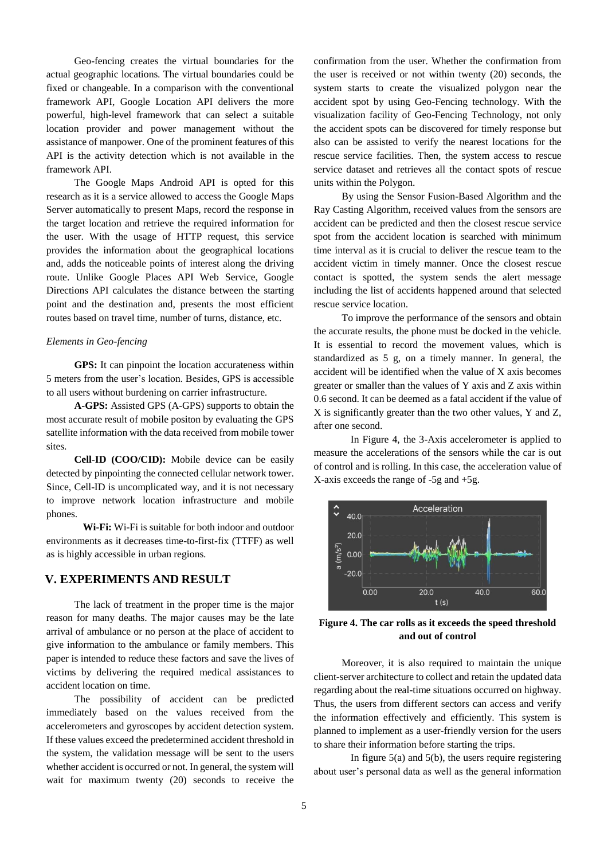Geo-fencing creates the virtual boundaries for the actual geographic locations. The virtual boundaries could be fixed or changeable. In a comparison with the conventional framework API, Google Location API delivers the more powerful, high-level framework that can select a suitable location provider and power management without the assistance of manpower. One of the prominent features of this API is the activity detection which is not available in the framework API.

The Google Maps Android API is opted for this research as it is a service allowed to access the Google Maps Server automatically to present Maps, record the response in the target location and retrieve the required information for the user. With the usage of HTTP request, this service provides the information about the geographical locations and, adds the noticeable points of interest along the driving route. Unlike Google Places API Web Service, Google Directions API calculates the distance between the starting point and the destination and, presents the most efficient routes based on travel time, number of turns, distance, etc.

#### *Elements in Geo-fencing*

**GPS:** It can pinpoint the location accurateness within 5 meters from the user's location. Besides, GPS is accessible to all users without burdening on carrier infrastructure.

**A-GPS:** Assisted GPS (A-GPS) supports to obtain the most accurate result of mobile positon by evaluating the GPS satellite information with the data received from mobile tower sites.

**Cell-ID (COO/CID):** Mobile device can be easily detected by pinpointing the connected cellular network tower. Since, Cell-ID is uncomplicated way, and it is not necessary to improve network location infrastructure and mobile phones.

**Wi-Fi:** Wi-Fi is suitable for both indoor and outdoor environments as it decreases time-to-first-fix (TTFF) as well as is highly accessible in urban regions.

## **V. EXPERIMENTS AND RESULT**

The lack of treatment in the proper time is the major reason for many deaths. The major causes may be the late arrival of ambulance or no person at the place of accident to give information to the ambulance or family members. This paper is intended to reduce these factors and save the lives of victims by delivering the required medical assistances to accident location on time.

The possibility of accident can be predicted immediately based on the values received from the accelerometers and gyroscopes by accident detection system. If these values exceed the predetermined accident threshold in the system, the validation message will be sent to the users whether accident is occurred or not. In general, the system will wait for maximum twenty (20) seconds to receive the

confirmation from the user. Whether the confirmation from the user is received or not within twenty (20) seconds, the system starts to create the visualized polygon near the accident spot by using Geo-Fencing technology. With the visualization facility of Geo-Fencing Technology, not only the accident spots can be discovered for timely response but also can be assisted to verify the nearest locations for the rescue service facilities. Then, the system access to rescue service dataset and retrieves all the contact spots of rescue units within the Polygon.

By using the Sensor Fusion-Based Algorithm and the Ray Casting Algorithm, received values from the sensors are accident can be predicted and then the closest rescue service spot from the accident location is searched with minimum time interval as it is crucial to deliver the rescue team to the accident victim in timely manner. Once the closest rescue contact is spotted, the system sends the alert message including the list of accidents happened around that selected rescue service location.

To improve the performance of the sensors and obtain the accurate results, the phone must be docked in the vehicle. It is essential to record the movement values, which is standardized as 5 g, on a timely manner. In general, the accident will be identified when the value of X axis becomes greater or smaller than the values of Y axis and Z axis within 0.6 second. It can be deemed as a fatal accident if the value of X is significantly greater than the two other values, Y and Z, after one second.

In Figure 4, the 3-Axis accelerometer is applied to measure the accelerations of the sensors while the car is out of control and is rolling. In this case, the acceleration value of X-axis exceeds the range of -5g and +5g.



**Figure 4. The car rolls as it exceeds the speed threshold and out of control**

Moreover, it is also required to maintain the unique client-server architecture to collect and retain the updated data regarding about the real-time situations occurred on highway. Thus, the users from different sectors can access and verify the information effectively and efficiently. This system is planned to implement as a user-friendly version for the users to share their information before starting the trips.

In figure  $5(a)$  and  $5(b)$ , the users require registering about user's personal data as well as the general information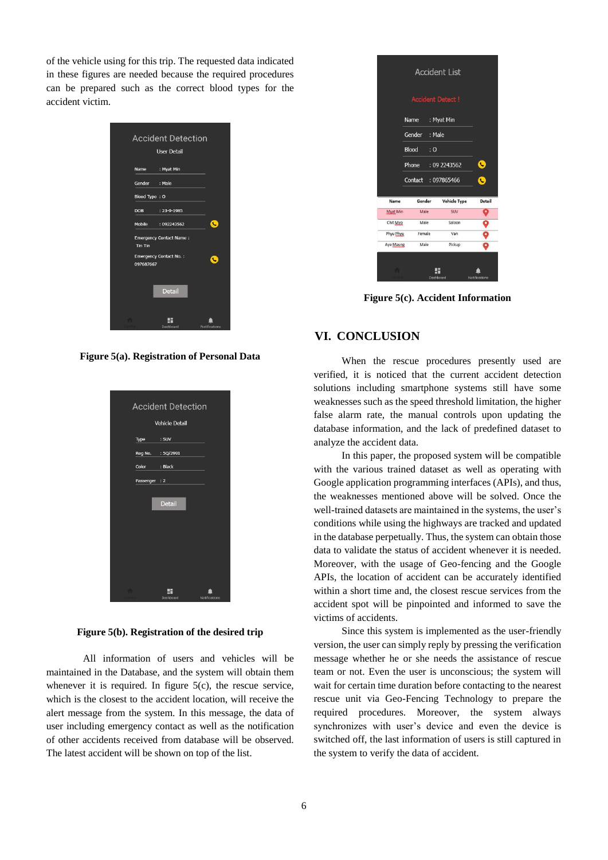of the vehicle using for this trip. The requested data indicated in these figures are needed because the required procedures can be prepared such as the correct blood types for the accident victim.



**Figure 5(a). Registration of Personal Data**

| <b>Accident Detection</b> |                   |               |  |
|---------------------------|-------------------|---------------|--|
| <b>Vehicle Detail</b>     |                   |               |  |
| Type                      | $:$ SUV           |               |  |
|                           | Reg No. : 5Q/2991 |               |  |
| Color                     | : Black           |               |  |
| Passenger : 2             |                   |               |  |
|                           | <b>Detail</b>     |               |  |
|                           |                   |               |  |
|                           | Dashboard         | Notifications |  |

#### **Figure 5(b). Registration of the desired trip**

All information of users and vehicles will be maintained in the Database, and the system will obtain them whenever it is required. In figure  $5(c)$ , the rescue service, which is the closest to the accident location, will receive the alert message from the system. In this message, the data of user including emergency contact as well as the notification of other accidents received from database will be observed. The latest accident will be shown on top of the list.



**Figure 5(c). Accident Information** 

## **VI. CONCLUSION**

When the rescue procedures presently used are verified, it is noticed that the current accident detection solutions including smartphone systems still have some weaknesses such as the speed threshold limitation, the higher false alarm rate, the manual controls upon updating the database information, and the lack of predefined dataset to analyze the accident data.

In this paper, the proposed system will be compatible with the various trained dataset as well as operating with Google application programming interfaces (APIs), and thus, the weaknesses mentioned above will be solved. Once the well-trained datasets are maintained in the systems, the user's conditions while using the highways are tracked and updated in the database perpetually. Thus, the system can obtain those data to validate the status of accident whenever it is needed. Moreover, with the usage of Geo-fencing and the Google APIs, the location of accident can be accurately identified within a short time and, the closest rescue services from the accident spot will be pinpointed and informed to save the victims of accidents.

Since this system is implemented as the user-friendly version, the user can simply reply by pressing the verification message whether he or she needs the assistance of rescue team or not. Even the user is unconscious; the system will wait for certain time duration before contacting to the nearest rescue unit via Geo-Fencing Technology to prepare the required procedures. Moreover, the system always synchronizes with user's device and even the device is switched off, the last information of users is still captured in the system to verify the data of accident.